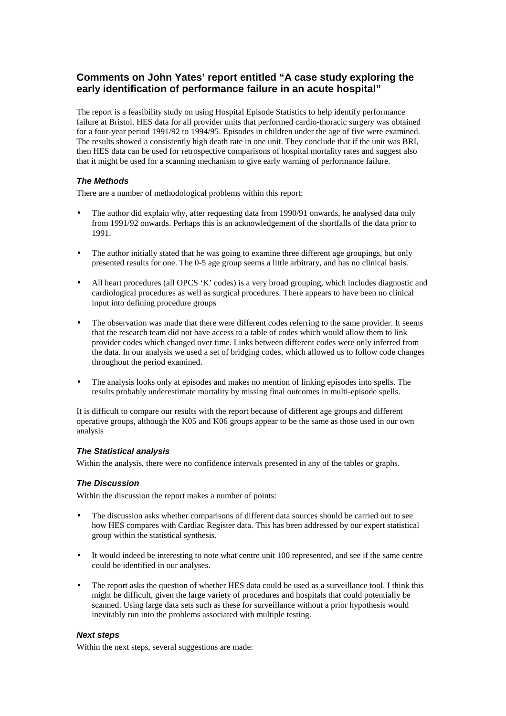# **Comments on John Yates' report entitled "A case study exploring the early identification of performance failure in an acute hospital"**

The report is a feasibility study on using Hospital Episode Statistics to help identify performance failure at Bristol. HES data for all provider units that performed cardio-thoracic surgery was obtained for a four-year period 1991/92 to 1994/95. Episodes in children under the age of five were examined. The results showed a consistently high death rate in one unit. They conclude that if the unit was BRI, then HES data can be used for retrospective comparisons of hospital mortality rates and suggest also that it might be used for a scanning mechanism to give early warning of performance failure.

## *The Methods*

There are a number of methodological problems within this report:

- The author did explain why, after requesting data from 1990/91 onwards, he analysed data only from 1991/92 onwards. Perhaps this is an acknowledgement of the shortfalls of the data prior to 1991.
- The author initially stated that he was going to examine three different age groupings, but only presented results for one. The 0-5 age group seems a little arbitrary, and has no clinical basis.
- All heart procedures (all OPCS 'K' codes) is a very broad grouping, which includes diagnostic and cardiological procedures as well as surgical procedures. There appears to have been no clinical input into defining procedure groups
- The observation was made that there were different codes referring to the same provider. It seems that the research team did not have access to a table of codes which would allow them to link provider codes which changed over time. Links between different codes were only inferred from the data. In our analysis we used a set of bridging codes, which allowed us to follow code changes throughout the period examined.
- The analysis looks only at episodes and makes no mention of linking episodes into spells. The results probably underestimate mortality by missing final outcomes in multi-episode spells.

It is difficult to compare our results with the report because of different age groups and different operative groups, although the K05 and K06 groups appear to be the same as those used in our own analysis

### *The Statistical analysis*

Within the analysis, there were no confidence intervals presented in any of the tables or graphs.

### *The Discussion*

Within the discussion the report makes a number of points:

- The discussion asks whether comparisons of different data sources should be carried out to see how HES compares with Cardiac Register data. This has been addressed by our expert statistical group within the statistical synthesis.
- It would indeed be interesting to note what centre unit 100 represented, and see if the same centre could be identified in our analyses.
- The report asks the question of whether HES data could be used as a surveillance tool. I think this might be difficult, given the large variety of procedures and hospitals that could potentially be scanned. Using large data sets such as these for surveillance without a prior hypothesis would inevitably run into the problems associated with multiple testing.

### *Next steps*

Within the next steps, several suggestions are made: